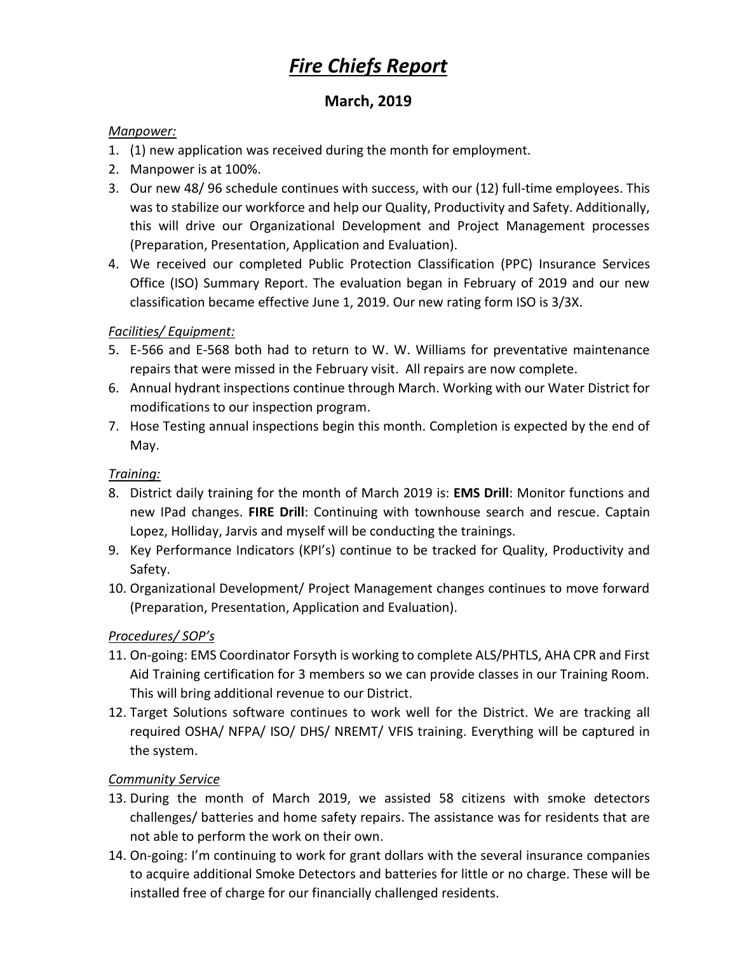# *Fire Chiefs Report*

## **March, 2019**

#### *Manpower:*

- 1. (1) new application was received during the month for employment.
- 2. Manpower is at 100%.
- 3. Our new 48/ 96 schedule continues with success, with our (12) full-time employees. This was to stabilize our workforce and help our Quality, Productivity and Safety. Additionally, this will drive our Organizational Development and Project Management processes (Preparation, Presentation, Application and Evaluation).
- 4. We received our completed Public Protection Classification (PPC) Insurance Services Office (ISO) Summary Report. The evaluation began in February of 2019 and our new classification became effective June 1, 2019. Our new rating form ISO is 3/3X.

## *Facilities/ Equipment:*

- 5. E-566 and E-568 both had to return to W. W. Williams for preventative maintenance repairs that were missed in the February visit. All repairs are now complete.
- 6. Annual hydrant inspections continue through March. Working with our Water District for modifications to our inspection program.
- 7. Hose Testing annual inspections begin this month. Completion is expected by the end of May.

## *Training:*

- 8. District daily training for the month of March 2019 is: **EMS Drill**: Monitor functions and new IPad changes. **FIRE Drill**: Continuing with townhouse search and rescue. Captain Lopez, Holliday, Jarvis and myself will be conducting the trainings.
- 9. Key Performance Indicators (KPI's) continue to be tracked for Quality, Productivity and Safety.
- 10. Organizational Development/ Project Management changes continues to move forward (Preparation, Presentation, Application and Evaluation).

## *Procedures/ SOP's*

- 11. On-going: EMS Coordinator Forsyth is working to complete ALS/PHTLS, AHA CPR and First Aid Training certification for 3 members so we can provide classes in our Training Room. This will bring additional revenue to our District.
- 12. Target Solutions software continues to work well for the District. We are tracking all required OSHA/ NFPA/ ISO/ DHS/ NREMT/ VFIS training. Everything will be captured in the system.

## *Community Service*

- 13. During the month of March 2019, we assisted 58 citizens with smoke detectors challenges/ batteries and home safety repairs. The assistance was for residents that are not able to perform the work on their own.
- 14. On-going: I'm continuing to work for grant dollars with the several insurance companies to acquire additional Smoke Detectors and batteries for little or no charge. These will be installed free of charge for our financially challenged residents.